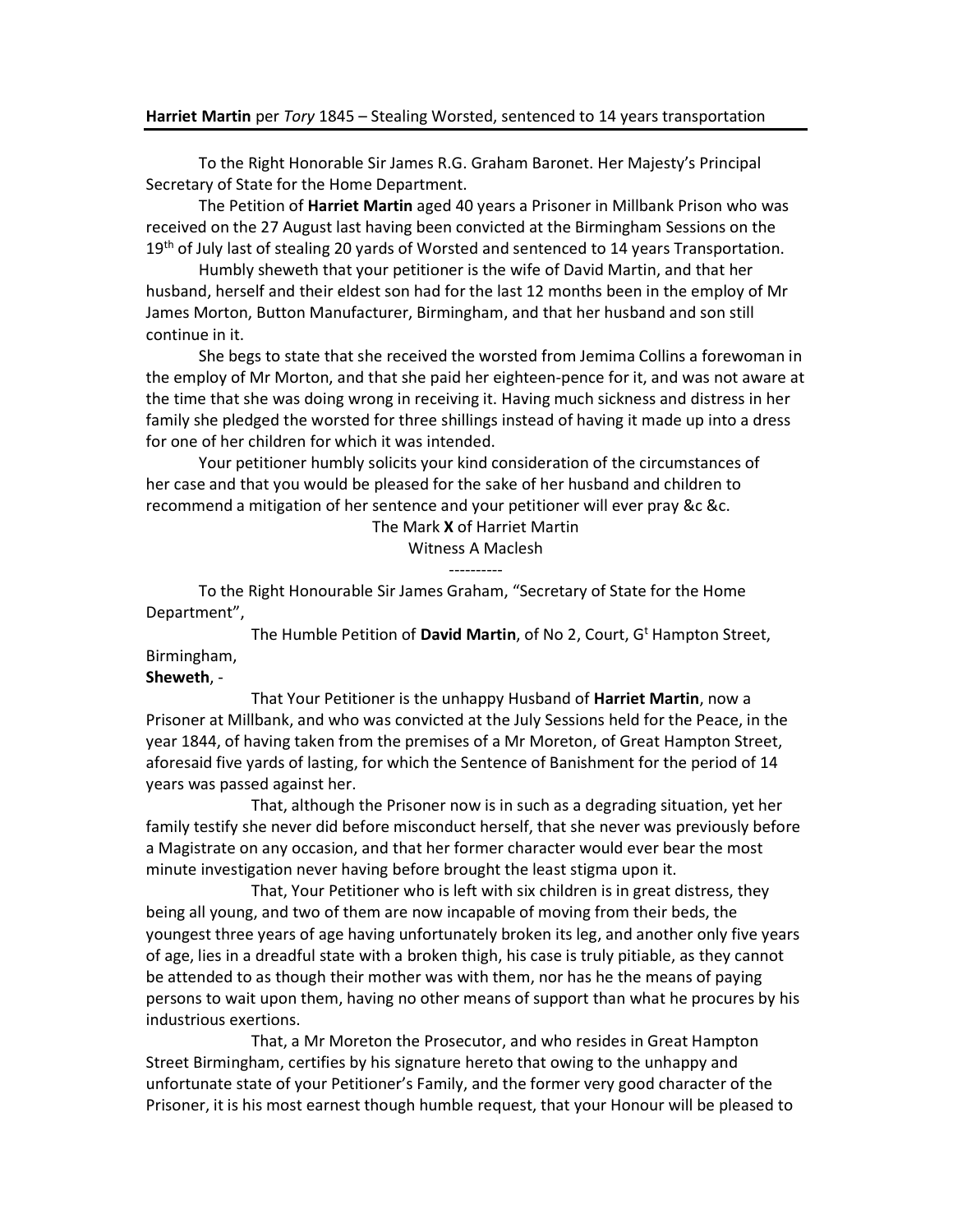## Harriet Martin per Tory 1845 – Stealing Worsted, sentenced to 14 years transportation

 To the Right Honorable Sir James R.G. Graham Baronet. Her Majesty's Principal Secretary of State for the Home Department.

 The Petition of Harriet Martin aged 40 years a Prisoner in Millbank Prison who was received on the 27 August last having been convicted at the Birmingham Sessions on the 19<sup>th</sup> of July last of stealing 20 yards of Worsted and sentenced to 14 years Transportation.

 Humbly sheweth that your petitioner is the wife of David Martin, and that her husband, herself and their eldest son had for the last 12 months been in the employ of Mr James Morton, Button Manufacturer, Birmingham, and that her husband and son still continue in it.

 She begs to state that she received the worsted from Jemima Collins a forewoman in the employ of Mr Morton, and that she paid her eighteen-pence for it, and was not aware at the time that she was doing wrong in receiving it. Having much sickness and distress in her family she pledged the worsted for three shillings instead of having it made up into a dress for one of her children for which it was intended.

 Your petitioner humbly solicits your kind consideration of the circumstances of her case and that you would be pleased for the sake of her husband and children to recommend a mitigation of her sentence and your petitioner will ever pray &c &c.

The Mark X of Harriet Martin

Witness A Maclesh

----------

 To the Right Honourable Sir James Graham, "Secretary of State for the Home Department",

The Humble Petition of David Martin, of No 2, Court, G<sup>t</sup> Hampton Street, Birmingham,

## Sheweth, -

That Your Petitioner is the unhappy Husband of **Harriet Martin**, now a Prisoner at Millbank, and who was convicted at the July Sessions held for the Peace, in the year 1844, of having taken from the premises of a Mr Moreton, of Great Hampton Street, aforesaid five yards of lasting, for which the Sentence of Banishment for the period of 14 years was passed against her.

 That, although the Prisoner now is in such as a degrading situation, yet her family testify she never did before misconduct herself, that she never was previously before a Magistrate on any occasion, and that her former character would ever bear the most minute investigation never having before brought the least stigma upon it.

 That, Your Petitioner who is left with six children is in great distress, they being all young, and two of them are now incapable of moving from their beds, the youngest three years of age having unfortunately broken its leg, and another only five years of age, lies in a dreadful state with a broken thigh, his case is truly pitiable, as they cannot be attended to as though their mother was with them, nor has he the means of paying persons to wait upon them, having no other means of support than what he procures by his industrious exertions.

 That, a Mr Moreton the Prosecutor, and who resides in Great Hampton Street Birmingham, certifies by his signature hereto that owing to the unhappy and unfortunate state of your Petitioner's Family, and the former very good character of the Prisoner, it is his most earnest though humble request, that your Honour will be pleased to